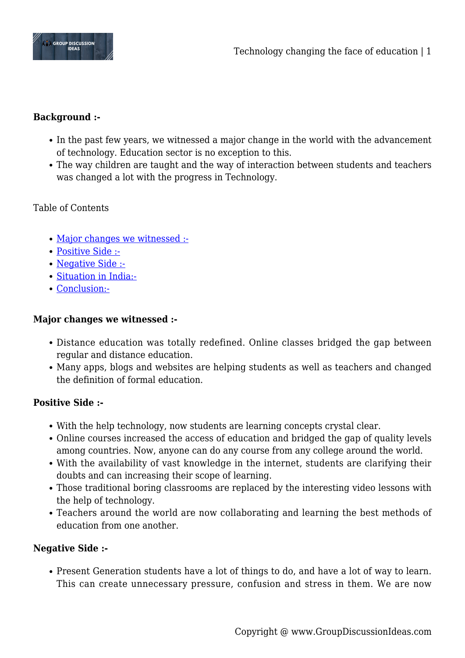

# **Background :-**

- In the past few years, we witnessed a major change in the world with the advancement of technology. Education sector is no exception to this.
- The way children are taught and the way of interaction between students and teachers was changed a lot with the progress in Technology.

## Table of Contents

- [Major changes we witnessed :-](#page--1-0)
- [Positive Side :-](#page--1-0)
- [Negative Side :-](#page--1-0)
- [Situation in India:-](#page--1-0)
- [Conclusion:-](#page--1-0)

### **Major changes we witnessed :-**

- Distance education was totally redefined. Online classes bridged the gap between regular and distance education.
- Many apps, blogs and websites are helping students as well as teachers and changed the definition of formal education.

### **Positive Side :-**

- With the help technology, now students are learning concepts crystal clear.
- Online courses increased the access of education and bridged the gap of quality levels among countries. Now, anyone can do any course from any college around the world.
- With the availability of vast knowledge in the internet, students are clarifying their doubts and can increasing their scope of learning.
- Those traditional boring classrooms are replaced by the interesting video lessons with the help of technology.
- Teachers around the world are now collaborating and learning the best methods of education from one another.

### **Negative Side :-**

Present Generation students have a lot of things to do, and have a lot of way to learn. This can create unnecessary pressure, confusion and stress in them. We are now